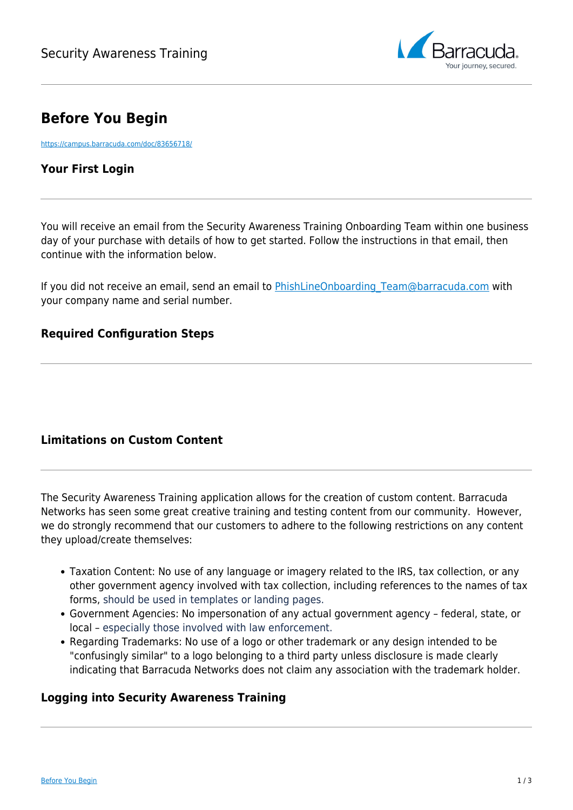

# **Before You Begin**

<https://campus.barracuda.com/doc/83656718/>

## **Your First Login**

You will receive an email from the Security Awareness Training Onboarding Team within one business day of your purchase with details of how to get started. Follow the instructions in that email, then continue with the information below.

If you did not receive an email, send an email to PhishLineOnboarding Team@barracuda.com with your company name and serial number.

## **Required Configuration Steps**

## **Limitations on Custom Content**

The Security Awareness Training application allows for the creation of custom content. Barracuda Networks has seen some great creative training and testing content from our community. However, we do strongly recommend that our customers to adhere to the following restrictions on any content they upload/create themselves:

- Taxation Content: No use of any language or imagery related to the IRS, tax collection, or any other government agency involved with tax collection, including references to the names of tax forms, should be used in templates or landing pages.
- Government Agencies: No impersonation of any actual government agency federal, state, or local – especially those involved with law enforcement.
- Regarding Trademarks: No use of a logo or other trademark or any design intended to be "confusingly similar" to a logo belonging to a third party unless disclosure is made clearly indicating that Barracuda Networks does not claim any association with the trademark holder.

## **Logging into Security Awareness Training**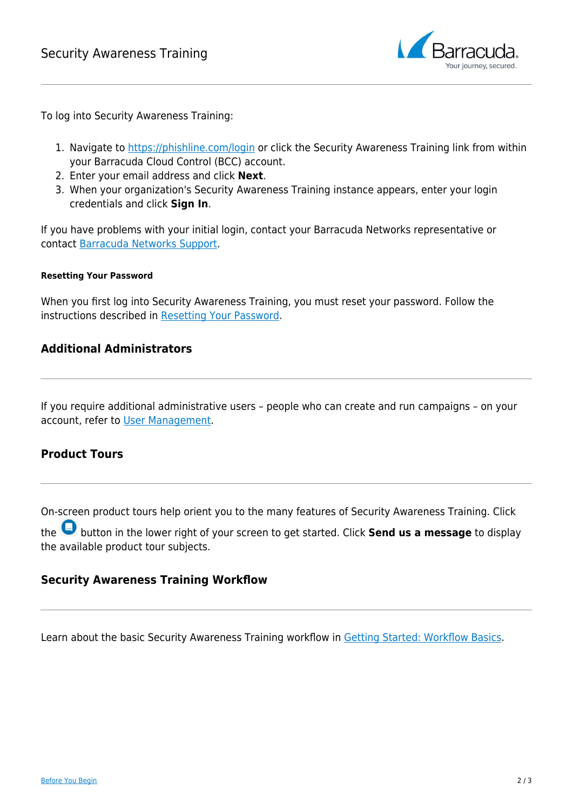

To log into Security Awareness Training:

- 1. Navigate to<https://phishline.com/login>or click the Security Awareness Training link from within your Barracuda Cloud Control (BCC) account.
- 2. Enter your email address and click **Next**.
- 3. When your organization's Security Awareness Training instance appears, enter your login credentials and click **Sign In**.

If you have problems with your initial login, contact your Barracuda Networks representative or contact [Barracuda Networks Support.](https://www.barracuda.com/support/index)

#### **Resetting Your Password**

When you first log into Security Awareness Training, you must reset your password. Follow the instructions described in [Resetting Your Password](http://campus.barracuda.com/doc/86544722/).

#### **Additional Administrators**

If you require additional administrative users – people who can create and run campaigns – on your account, refer to [User Management](http://campus.barracuda.com/doc/79466725/).

## **Product Tours**

On-screen product tours help orient you to the many features of Security Awareness Training. Click

the button in the lower right of your screen to get started. Click **Send us a message** to display the available product tour subjects.

#### **Security Awareness Training Workflow**

Learn about the basic Security Awareness Training workflow in [Getting Started: Workflow Basics](http://campus.barracuda.com/doc/78808973/).